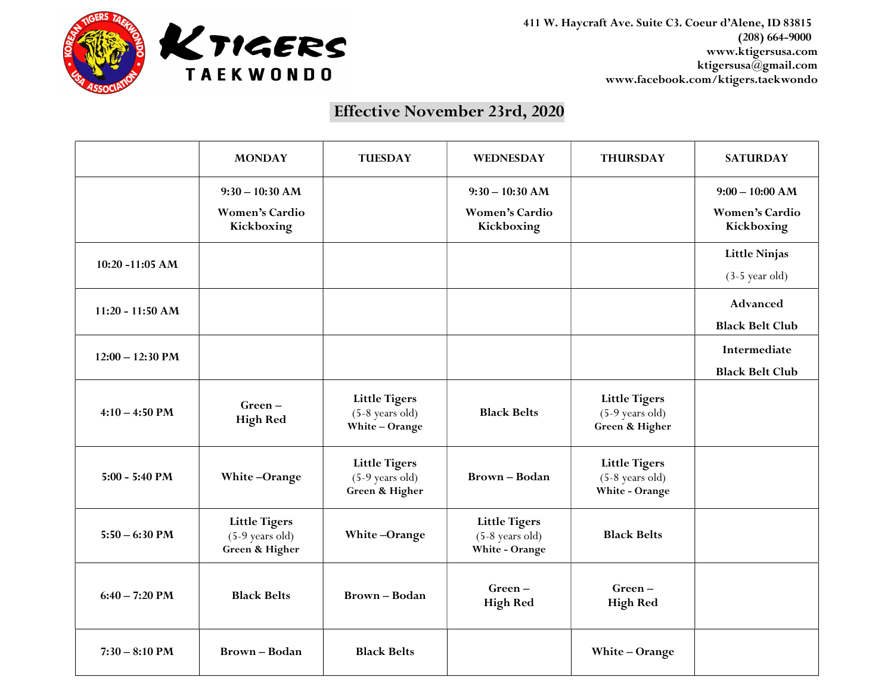

411 W. Haycraft Ave. Suite C3. Coeur d'Alene, ID 83815 (208) 664-9000 www.ktigersusa.com ktigersusa@gmail.com www.facebook.com/ktigers.taekwondo

## Effective November 23rd, 2020

|                    | <b>MONDAY</b>                                               | <b>TUESDAY</b>                                              | <b>WEDNESDAY</b>                                            | <b>THURSDAY</b>                                             | <b>SATURDAY</b>                                          |
|--------------------|-------------------------------------------------------------|-------------------------------------------------------------|-------------------------------------------------------------|-------------------------------------------------------------|----------------------------------------------------------|
|                    | $9:30 - 10:30$ AM<br><b>Women's Cardio</b><br>Kickboxing    |                                                             | $9:30 - 10:30$ AM<br><b>Women's Cardio</b><br>Kickboxing    |                                                             | $9:00 - 10:00$ AM<br><b>Women's Cardio</b><br>Kickboxing |
| 10:20 -11:05 AM    |                                                             |                                                             |                                                             |                                                             | <b>Little Ninjas</b><br>$(3-5 \text{ year old})$         |
| $11:20 - 11:50 AM$ |                                                             |                                                             |                                                             |                                                             | Advanced<br><b>Black Belt Club</b>                       |
| $12:00 - 12:30$ PM |                                                             |                                                             |                                                             |                                                             | Intermediate<br><b>Black Belt Club</b>                   |
| $4:10 - 4:50$ PM   | $Green-$<br><b>High Red</b>                                 | <b>Little Tigers</b><br>$(5-8$ years old)<br>White-Orange   | <b>Black Belts</b>                                          | <b>Little Tigers</b><br>$(5-9$ years old)<br>Green & Higher |                                                          |
| $5:00 - 5:40$ PM   | White-Orange                                                | <b>Little Tigers</b><br>$(5-9$ years old)<br>Green & Higher | <b>Brown-Bodan</b>                                          | <b>Little Tigers</b><br>$(5-8$ years old)<br>White - Orange |                                                          |
| $5:50 - 6:30$ PM   | <b>Little Tigers</b><br>$(5-9$ years old)<br>Green & Higher | White-Orange                                                | <b>Little Tigers</b><br>$(5-8$ years old)<br>White - Orange | <b>Black Belts</b>                                          |                                                          |
| $6:40 - 7:20$ PM   | <b>Black Belts</b>                                          | <b>Brown-Bodan</b>                                          | $Green-$<br><b>High Red</b>                                 | Green-<br><b>High Red</b>                                   |                                                          |
| $7:30 - 8:10$ PM   | <b>Brown-Bodan</b>                                          | <b>Black Belts</b>                                          |                                                             | White - Orange                                              |                                                          |